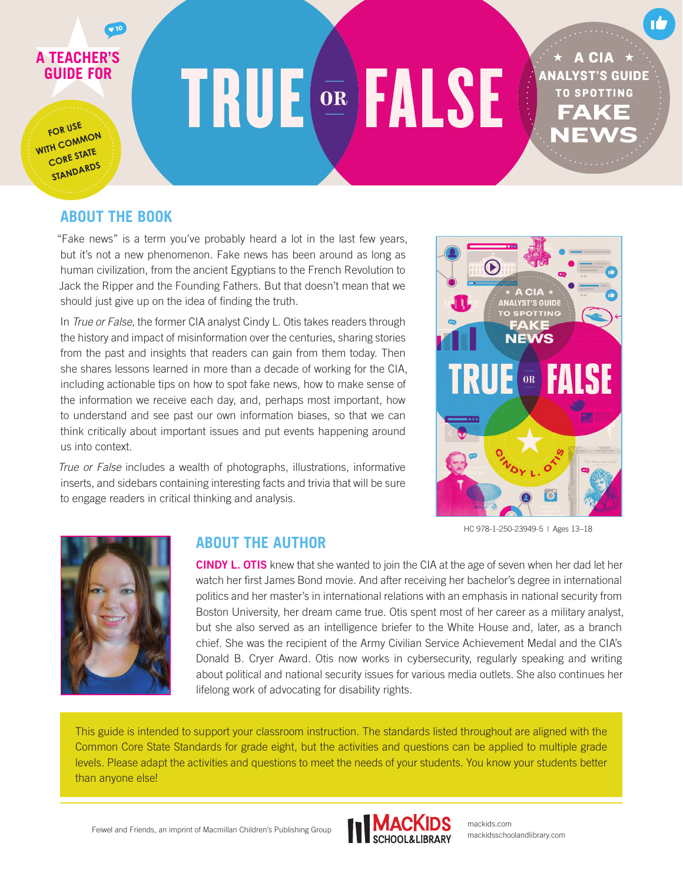# **A TEACHER'S GUIDE FOR**

**FOR USE WITH COMMON CORE STATE STANDARDS**

# **TRUE EALSE**

A CIA **ANALYST'S GUIDE TO SPOTTING** 

### **ABOUT THE BOOK**

 $\sqrt{10}$ 

"Fake news" is a term you've probably heard a lot in the last few years, but it's not a new phenomenon. Fake news has been around as long as human civilization, from the ancient Egyptians to the French Revolution to Jack the Ripper and the Founding Fathers. But that doesn't mean that we should just give up on the idea of finding the truth.

In *True or False*, the former CIA analyst Cindy L. Otis takes readers through the history and impact of misinformation over the centuries, sharing stories from the past and insights that readers can gain from them today. Then she shares lessons learned in more than a decade of working for the CIA, including actionable tips on how to spot fake news, how to make sense of the information we receive each day, and, perhaps most important, how to understand and see past our own information biases, so that we can think critically about important issues and put events happening around us into context.

*True or False* includes a wealth of photographs, illustrations, informative inserts, and sidebars containing interesting facts and trivia that will be sure to engage readers in critical thinking and analysis.



HC 978-1-250-23949-5 | Ages 13–18



### **ABOUT THE AUTHOR**

CINDY L. OTIS knew that she wanted to join the CIA at the age of seven when her dad let her watch her first James Bond movie. And after receiving her bachelor's degree in international politics and her master's in international relations with an emphasis in national security from Boston University, her dream came true. Otis spent most of her career as a military analyst, but she also served as an intelligence briefer to the White House and, later, as a branch chief. She was the recipient of the Army Civilian Service Achievement Medal and the CIA's Donald B. Cryer Award. Otis now works in cybersecurity, regularly speaking and writing about political and national security issues for various media outlets. She also continues her lifelong work of advocating for disability rights.

This guide is intended to support your classroom instruction. The standards listed throughout are aligned with the Common Core State Standards for grade eight, but the activities and questions can be applied to multiple grade levels. Please adapt the activities and questions to meet the needs of your students. You know your students better than anyone else!



mackids.com mackidsschoolandlibrary.com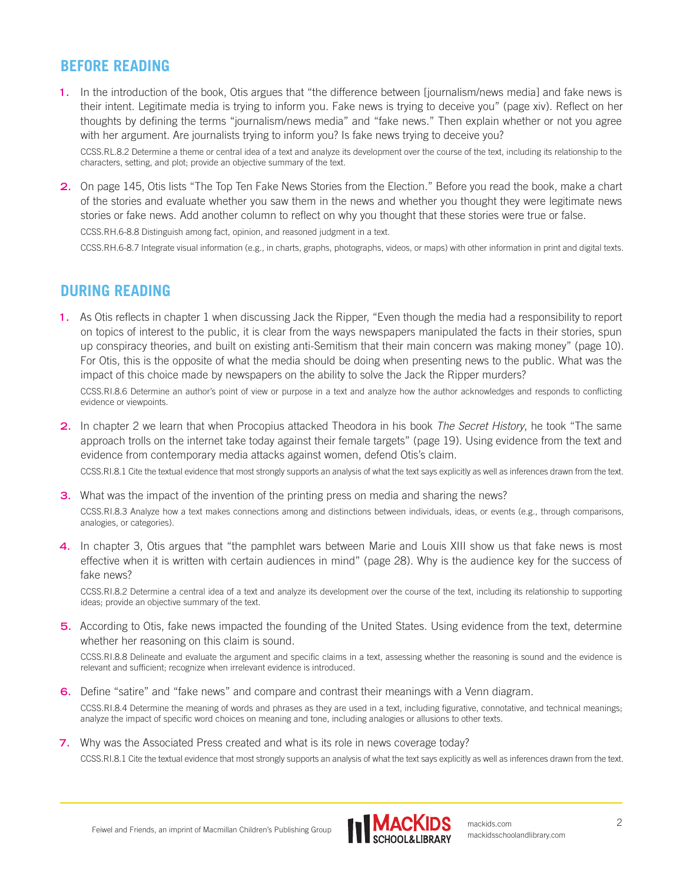### **BEFORE READING**

**1.** In the introduction of the book, Otis argues that "the difference between [journalism/news media] and fake news is their intent. Legitimate media is trying to inform you. Fake news is trying to deceive you" (page xiv). Reflect on her thoughts by defining the terms "journalism/news media" and "fake news." Then explain whether or not you agree with her argument. Are journalists trying to inform you? Is fake news trying to deceive you?

CCSS.RL.8.2 Determine a theme or central idea of a text and analyze its development over the course of the text, including its relationship to the characters, setting, and plot; provide an objective summary of the text.

**2.** On page 145, Otis lists "The Top Ten Fake News Stories from the Election." Before you read the book, make a chart of the stories and evaluate whether you saw them in the news and whether you thought they were legitimate news stories or fake news. Add another column to reflect on why you thought that these stories were true or false.

CCSS.RH.6-8.8 Distinguish among fact, opinion, and reasoned judgment in a text.

CCSS.RH.6-8.7 Integrate visual information (e.g., in charts, graphs, photographs, videos, or maps) with other information in print and digital texts.

### **DURING READING**

**1.** As Otis reflects in chapter 1 when discussing Jack the Ripper, "Even though the media had a responsibility to report on topics of interest to the public, it is clear from the ways newspapers manipulated the facts in their stories, spun up conspiracy theories, and built on existing anti-Semitism that their main concern was making money" (page 10). For Otis, this is the opposite of what the media should be doing when presenting news to the public. What was the impact of this choice made by newspapers on the ability to solve the Jack the Ripper murders?

CCSS.RI.8.6 Determine an author's point of view or purpose in a text and analyze how the author acknowledges and responds to conflicting evidence or viewpoints.

**2.** In chapter 2 we learn that when Procopius attacked Theodora in his book *The Secret History*, he took "The same approach trolls on the internet take today against their female targets" (page 19). Using evidence from the text and evidence from contemporary media attacks against women, defend Otis's claim.

CCSS.RI.8.1 Cite the textual evidence that most strongly supports an analysis of what the text says explicitly as well as inferences drawn from the text.

- **3.** What was the impact of the invention of the printing press on media and sharing the news? CCSS.RI.8.3 Analyze how a text makes connections among and distinctions between individuals, ideas, or events (e.g., through comparisons, analogies, or categories).
- **4.** In chapter 3, Otis argues that "the pamphlet wars between Marie and Louis XIII show us that fake news is most effective when it is written with certain audiences in mind" (page 28). Why is the audience key for the success of fake news?

CCSS.RI.8.2 Determine a central idea of a text and analyze its development over the course of the text, including its relationship to supporting ideas; provide an objective summary of the text.

**5.** According to Otis, fake news impacted the founding of the United States. Using evidence from the text, determine whether her reasoning on this claim is sound.

CCSS.RI.8.8 Delineate and evaluate the argument and specific claims in a text, assessing whether the reasoning is sound and the evidence is relevant and sufficient; recognize when irrelevant evidence is introduced.

**6.** Define "satire" and "fake news" and compare and contrast their meanings with a Venn diagram.

CCSS.RI.8.4 Determine the meaning of words and phrases as they are used in a text, including figurative, connotative, and technical meanings; analyze the impact of specific word choices on meaning and tone, including analogies or allusions to other texts.

**7.** Why was the Associated Press created and what is its role in news coverage today?

CCSS.RI.8.1 Cite the textual evidence that most strongly supports an analysis of what the text says explicitly as well as inferences drawn from the text.

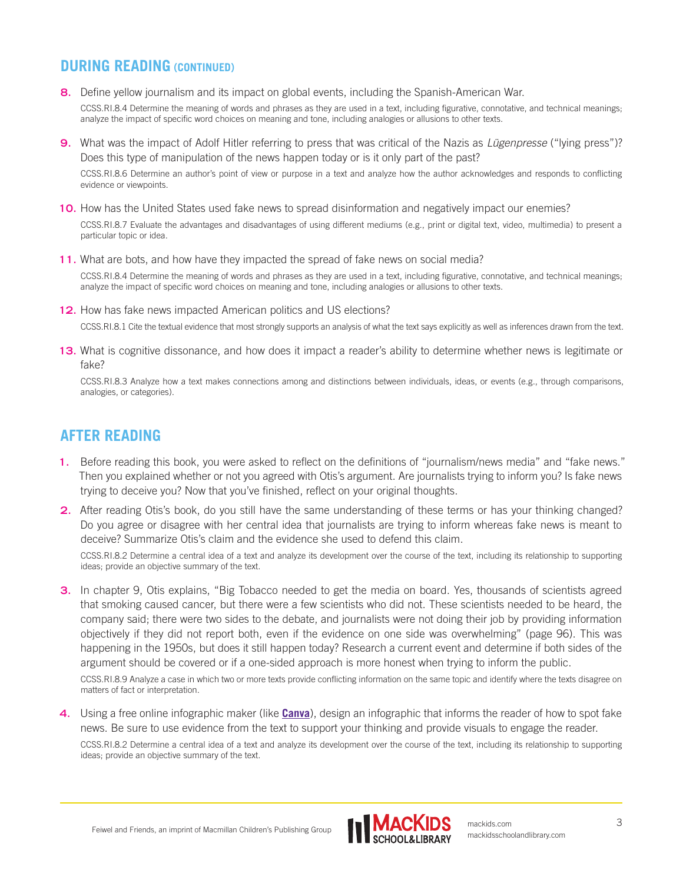### **DURING READING (CONTINUED)**

**8.** Define yellow journalism and its impact on global events, including the Spanish-American War.

CCSS.RI.8.4 Determine the meaning of words and phrases as they are used in a text, including figurative, connotative, and technical meanings; analyze the impact of specific word choices on meaning and tone, including analogies or allusions to other texts.

**9.** What was the impact of Adolf Hitler referring to press that was critical of the Nazis as *Lügenpresse* ("lying press")? Does this type of manipulation of the news happen today or is it only part of the past?

CCSS.RI.8.6 Determine an author's point of view or purpose in a text and analyze how the author acknowledges and responds to conflicting evidence or viewpoints.

**10.** How has the United States used fake news to spread disinformation and negatively impact our enemies?

CCSS.RI.8.7 Evaluate the advantages and disadvantages of using different mediums (e.g., print or digital text, video, multimedia) to present a particular topic or idea.

**11.** What are bots, and how have they impacted the spread of fake news on social media?

CCSS.RI.8.4 Determine the meaning of words and phrases as they are used in a text, including figurative, connotative, and technical meanings; analyze the impact of specific word choices on meaning and tone, including analogies or allusions to other texts.

- **12.** How has fake news impacted American politics and US elections? CCSS.RI.8.1 Cite the textual evidence that most strongly supports an analysis of what the text says explicitly as well as inferences drawn from the text.
- **13.** What is cognitive dissonance, and how does it impact a reader's ability to determine whether news is legitimate or fake?

CCSS.RI.8.3 Analyze how a text makes connections among and distinctions between individuals, ideas, or events (e.g., through comparisons, analogies, or categories).

## **AFTER READING**

- **1.** Before reading this book, you were asked to reflect on the definitions of "journalism/news media" and "fake news." Then you explained whether or not you agreed with Otis's argument. Are journalists trying to inform you? Is fake news trying to deceive you? Now that you've finished, reflect on your original thoughts.
- **2.** After reading Otis's book, do you still have the same understanding of these terms or has your thinking changed? Do you agree or disagree with her central idea that journalists are trying to inform whereas fake news is meant to deceive? Summarize Otis's claim and the evidence she used to defend this claim.

CCSS.RI.8.2 Determine a central idea of a text and analyze its development over the course of the text, including its relationship to supporting ideas; provide an objective summary of the text.

**3.** In chapter 9, Otis explains, "Big Tobacco needed to get the media on board. Yes, thousands of scientists agreed that smoking caused cancer, but there were a few scientists who did not. These scientists needed to be heard, the company said; there were two sides to the debate, and journalists were not doing their job by providing information objectively if they did not report both, even if the evidence on one side was overwhelming" (page 96). This was happening in the 1950s, but does it still happen today? Research a current event and determine if both sides of the argument should be covered or if a one-sided approach is more honest when trying to inform the public.

CCSS.RI.8.9 Analyze a case in which two or more texts provide conflicting information on the same topic and identify where the texts disagree on matters of fact or interpretation.

**4.** Using a free online infographic maker (like **[Canva](https://www.canva.com/tools/infographic-maker-v1/)**), design an infographic that informs the reader of how to spot fake news. Be sure to use evidence from the text to support your thinking and provide visuals to engage the reader.

CCSS.RI.8.2 Determine a central idea of a text and analyze its development over the course of the text, including its relationship to supporting ideas; provide an objective summary of the text.